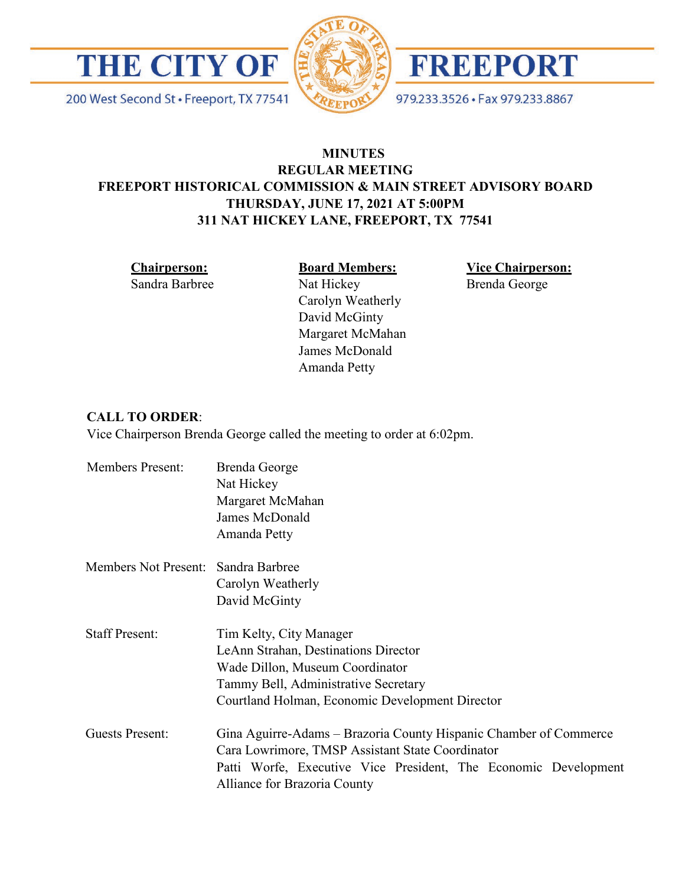

200 West Second St · Freeport, TX 77541





979.233.3526 · Fax 979.233.8867

# **MINUTES REGULAR MEETING FREEPORT HISTORICAL COMMISSION & MAIN STREET ADVISORY BOARD THURSDAY, JUNE 17, 2021 AT 5:00PM 311 NAT HICKEY LANE, FREEPORT, TX 77541**

**Chairperson:** Sandra Barbree

#### **Board Members:**

Carolyn Weatherly David McGinty Margaret McMahan James McDonald Amanda Petty

Nat Hickey

**Vice Chairperson:** Brenda George

### **CALL TO ORDER**:

Vice Chairperson Brenda George called the meeting to order at 6:02pm.

| <b>Members Present:</b>             | Brenda George<br>Nat Hickey                                                                     |
|-------------------------------------|-------------------------------------------------------------------------------------------------|
|                                     | Margaret McMahan                                                                                |
|                                     | James McDonald                                                                                  |
|                                     | Amanda Petty                                                                                    |
| Members Not Present: Sandra Barbree |                                                                                                 |
|                                     | Carolyn Weatherly                                                                               |
|                                     | David McGinty                                                                                   |
| <b>Staff Present:</b>               | Tim Kelty, City Manager                                                                         |
|                                     | LeAnn Strahan, Destinations Director                                                            |
|                                     | Wade Dillon, Museum Coordinator                                                                 |
|                                     | Tammy Bell, Administrative Secretary                                                            |
|                                     | Courtland Holman, Economic Development Director                                                 |
| <b>Guests Present:</b>              | Gina Aguirre-Adams – Brazoria County Hispanic Chamber of Commerce                               |
|                                     | Cara Lowrimore, TMSP Assistant State Coordinator                                                |
|                                     | Patti Worfe, Executive Vice President, The Economic Development<br>Alliance for Brazoria County |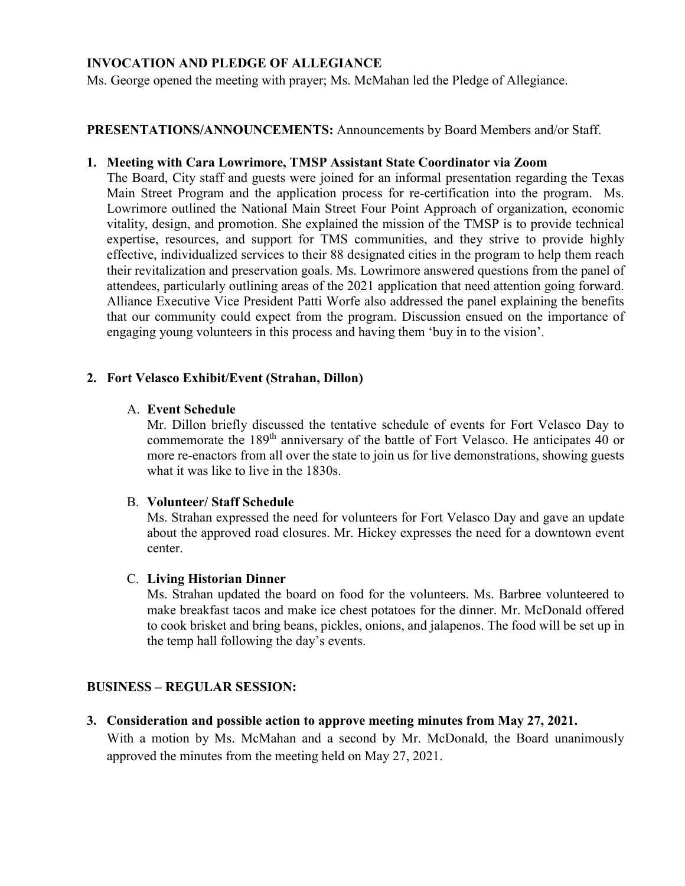### **INVOCATION AND PLEDGE OF ALLEGIANCE**

Ms. George opened the meeting with prayer; Ms. McMahan led the Pledge of Allegiance.

### **PRESENTATIONS/ANNOUNCEMENTS:** Announcements by Board Members and/or Staff.

#### **1. Meeting with Cara Lowrimore, TMSP Assistant State Coordinator via Zoom**

The Board, City staff and guests were joined for an informal presentation regarding the Texas Main Street Program and the application process for re-certification into the program. Ms. Lowrimore outlined the National Main Street Four Point Approach of organization, economic vitality, design, and promotion. She explained the mission of the TMSP is to provide technical expertise, resources, and support for TMS communities, and they strive to provide highly effective, individualized services to their 88 designated cities in the program to help them reach their revitalization and preservation goals. Ms. Lowrimore answered questions from the panel of attendees, particularly outlining areas of the 2021 application that need attention going forward. Alliance Executive Vice President Patti Worfe also addressed the panel explaining the benefits that our community could expect from the program. Discussion ensued on the importance of engaging young volunteers in this process and having them 'buy in to the vision'.

#### **2. Fort Velasco Exhibit/Event (Strahan, Dillon)**

#### A. **Event Schedule**

Mr. Dillon briefly discussed the tentative schedule of events for Fort Velasco Day to commemorate the 189th anniversary of the battle of Fort Velasco. He anticipates 40 or more re-enactors from all over the state to join us for live demonstrations, showing guests what it was like to live in the 1830s.

#### B. **Volunteer/ Staff Schedule**

Ms. Strahan expressed the need for volunteers for Fort Velasco Day and gave an update about the approved road closures. Mr. Hickey expresses the need for a downtown event center.

#### C. **Living Historian Dinner**

Ms. Strahan updated the board on food for the volunteers. Ms. Barbree volunteered to make breakfast tacos and make ice chest potatoes for the dinner. Mr. McDonald offered to cook brisket and bring beans, pickles, onions, and jalapenos. The food will be set up in the temp hall following the day's events.

#### **BUSINESS – REGULAR SESSION:**

**3. Consideration and possible action to approve meeting minutes from May 27, 2021.** 

With a motion by Ms. McMahan and a second by Mr. McDonald, the Board unanimously approved the minutes from the meeting held on May 27, 2021.